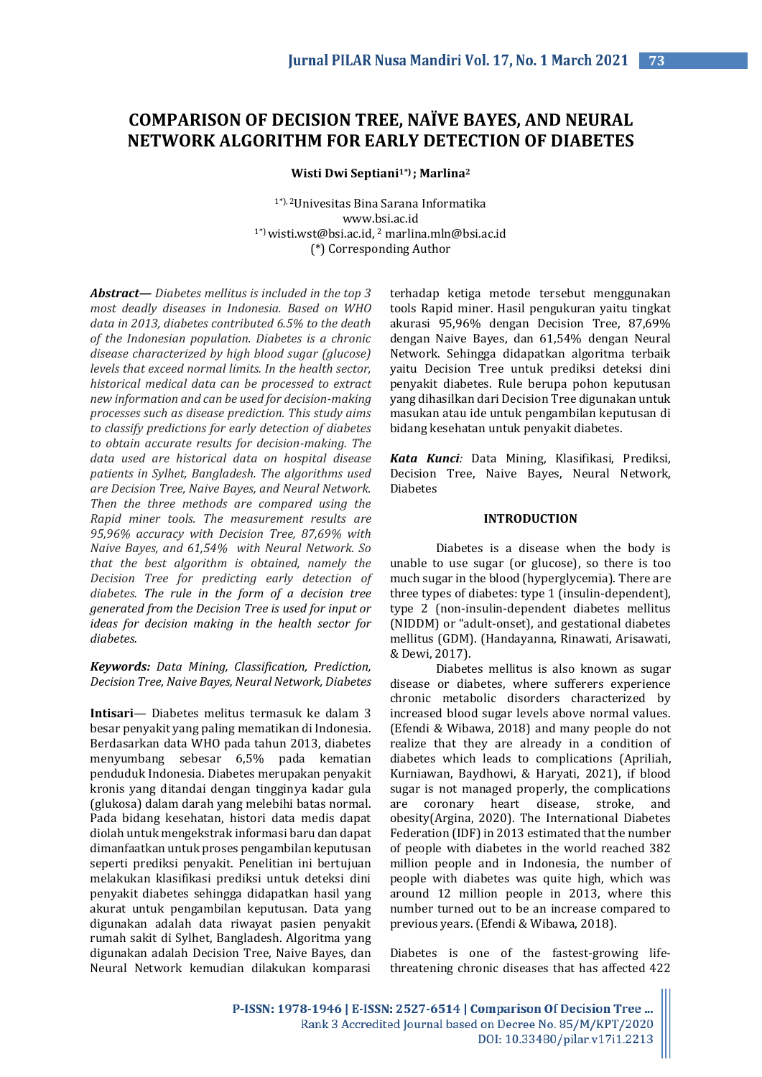# **COMPARISON OF DECISION TREE, NAÏVE BAYES, AND NEURAL NETWORK ALGORITHM FOR EARLY DETECTION OF DIABETES**

**Wisti Dwi Septiani1\*) ; Marlina<sup>2</sup>**

1\*), <sup>2</sup>Univesitas Bina Sarana Informatika www.bsi.ac.id  $1<sup>*</sup>$ ) wisti.wst@bsi.ac.id, <sup>2</sup> marlina.mln@bsi.ac.id (\*) Corresponding Author

*Abstract— Diabetes mellitus is included in the top 3 most deadly diseases in Indonesia. Based on WHO data in 2013, diabetes contributed 6.5% to the death of the Indonesian population. Diabetes is a chronic disease characterized by high blood sugar (glucose) levels that exceed normal limits. In the health sector, historical medical data can be processed to extract new information and can be used for decision-making processes such as disease prediction. This study aims to classify predictions for early detection of diabetes to obtain accurate results for decision-making. The data used are historical data on hospital disease patients in Sylhet, Bangladesh. The algorithms used are Decision Tree, Naive Bayes, and Neural Network. Then the three methods are compared using the Rapid miner tools. The measurement results are 95,96% accuracy with Decision Tree, 87,69% with Naive Bayes, and 61,54% with Neural Network. So that the best algorithm is obtained, namely the Decision Tree for predicting early detection of diabetes. The rule in the form of a decision tree generated from the Decision Tree is used for input or ideas for decision making in the health sector for diabetes.*

*Keywords: Data Mining, Classification, Prediction, Decision Tree, Naive Bayes, Neural Network, Diabetes*

**Intisari***—* Diabetes melitus termasuk ke dalam 3 besar penyakit yang paling mematikan di Indonesia. Berdasarkan data WHO pada tahun 2013, diabetes menyumbang sebesar 6,5% pada kematian penduduk Indonesia. Diabetes merupakan penyakit kronis yang ditandai dengan tingginya kadar gula (glukosa) dalam darah yang melebihi batas normal. Pada bidang kesehatan, histori data medis dapat diolah untuk mengekstrak informasi baru dan dapat dimanfaatkan untuk proses pengambilan keputusan seperti prediksi penyakit. Penelitian ini bertujuan melakukan klasifikasi prediksi untuk deteksi dini penyakit diabetes sehingga didapatkan hasil yang akurat untuk pengambilan keputusan. Data yang digunakan adalah data riwayat pasien penyakit rumah sakit di Sylhet, Bangladesh. Algoritma yang digunakan adalah Decision Tree, Naive Bayes, dan Neural Network kemudian dilakukan komparasi

terhadap ketiga metode tersebut menggunakan tools Rapid miner. Hasil pengukuran yaitu tingkat akurasi 95,96% dengan Decision Tree, 87,69% dengan Naive Bayes, dan 61,54% dengan Neural Network. Sehingga didapatkan algoritma terbaik yaitu Decision Tree untuk prediksi deteksi dini penyakit diabetes. Rule berupa pohon keputusan yang dihasilkan dari Decision Tree digunakan untuk masukan atau ide untuk pengambilan keputusan di bidang kesehatan untuk penyakit diabetes.

*Kata Kunci:* Data Mining, Klasifikasi, Prediksi, Decision Tree, Naive Bayes, Neural Network, Diabetes

## **INTRODUCTION**

Diabetes is a disease when the body is unable to use sugar (or glucose), so there is too much sugar in the blood (hyperglycemia). There are three types of diabetes: type 1 (insulin-dependent), type 2 (non-insulin-dependent diabetes mellitus (NIDDM) or "adult-onset), and gestational diabetes mellitus (GDM). (Handayanna, Rinawati, Arisawati, & Dewi, 2017).

Diabetes mellitus is also known as sugar disease or diabetes, where sufferers experience chronic metabolic disorders characterized by increased blood sugar levels above normal values. (Efendi & Wibawa, 2018) and many people do not realize that they are already in a condition of diabetes which leads to complications (Apriliah, Kurniawan, Baydhowi, & Haryati, 2021), if blood sugar is not managed properly, the complications are coronary heart disease, stroke, and obesity(Argina, 2020). The International Diabetes Federation (IDF) in 2013 estimated that the number of people with diabetes in the world reached 382 million people and in Indonesia, the number of people with diabetes was quite high, which was around 12 million people in 2013, where this number turned out to be an increase compared to previous years. (Efendi & Wibawa, 2018).

Diabetes is one of the fastest-growing lifethreatening chronic diseases that has affected 422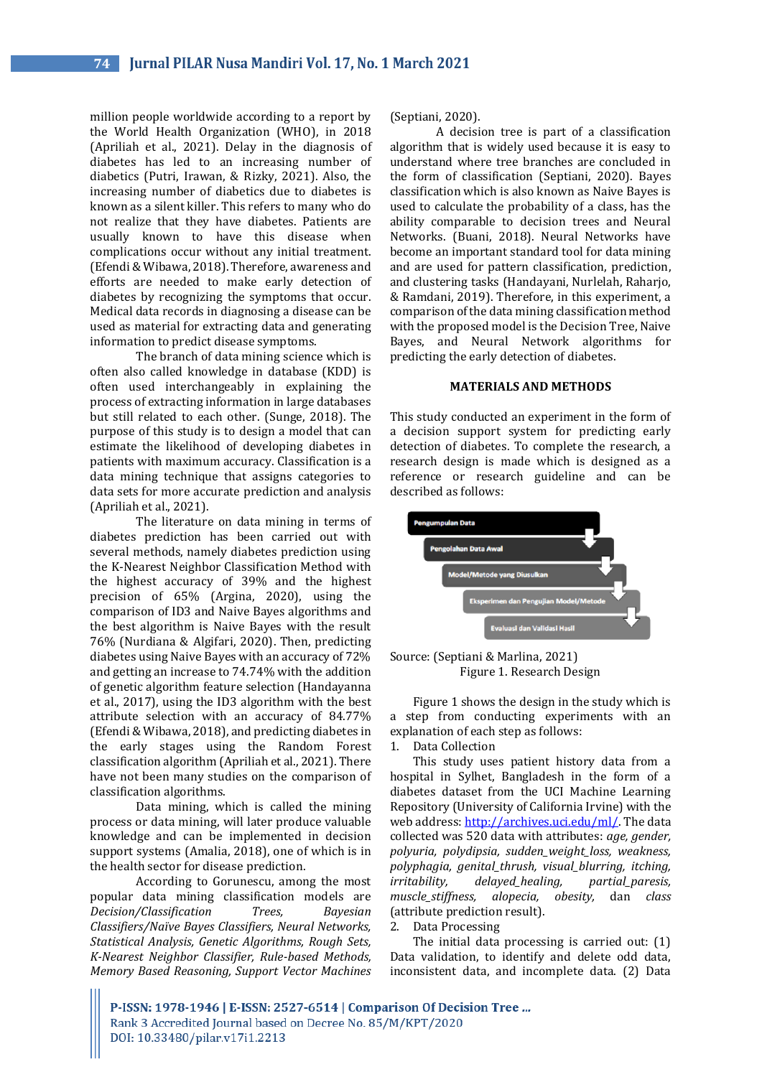million people worldwide according to a report by the World Health Organization (WHO), in 2018 (Apriliah et al., 2021). Delay in the diagnosis of diabetes has led to an increasing number of diabetics (Putri, Irawan, & Rizky, 2021). Also, the increasing number of diabetics due to diabetes is known as a silent killer. This refers to many who do not realize that they have diabetes. Patients are usually known to have this disease when complications occur without any initial treatment. (Efendi & Wibawa, 2018). Therefore, awareness and efforts are needed to make early detection of diabetes by recognizing the symptoms that occur. Medical data records in diagnosing a disease can be used as material for extracting data and generating information to predict disease symptoms.

The branch of data mining science which is often also called knowledge in database (KDD) is often used interchangeably in explaining the process of extracting information in large databases but still related to each other. (Sunge, 2018). The purpose of this study is to design a model that can estimate the likelihood of developing diabetes in patients with maximum accuracy. Classification is a data mining technique that assigns categories to data sets for more accurate prediction and analysis (Apriliah et al., 2021).

The literature on data mining in terms of diabetes prediction has been carried out with several methods, namely diabetes prediction using the K-Nearest Neighbor Classification Method with the highest accuracy of 39% and the highest precision of 65% (Argina, 2020), using the comparison of ID3 and Naive Bayes algorithms and the best algorithm is Naive Bayes with the result 76% (Nurdiana & Algifari, 2020). Then, predicting diabetes using Naive Bayes with an accuracy of 72% and getting an increase to 74.74% with the addition of genetic algorithm feature selection (Handayanna et al., 2017), using the ID3 algorithm with the best attribute selection with an accuracy of 84.77% (Efendi & Wibawa, 2018), and predicting diabetes in the early stages using the Random Forest classification algorithm (Apriliah et al., 2021). There have not been many studies on the comparison of classification algorithms.

Data mining, which is called the mining process or data mining, will later produce valuable knowledge and can be implemented in decision support systems (Amalia, 2018), one of which is in the health sector for disease prediction.

According to Gorunescu, among the most popular data mining classification models are *Decision/Classification Trees, Bayesian Classifiers/Naïve Bayes Classifiers, Neural Networks, Statistical Analysis, Genetic Algorithms, Rough Sets, K-Nearest Neighbor Classifier, Rule-based Methods, Memory Based Reasoning, Support Vector Machines* (Septiani, 2020).

A decision tree is part of a classification algorithm that is widely used because it is easy to understand where tree branches are concluded in the form of classification (Septiani, 2020). Bayes classification which is also known as Naive Bayes is used to calculate the probability of a class, has the ability comparable to decision trees and Neural Networks. (Buani, 2018). Neural Networks have become an important standard tool for data mining and are used for pattern classification, prediction, and clustering tasks (Handayani, Nurlelah, Raharjo, & Ramdani, 2019). Therefore, in this experiment, a comparison of the data mining classification method with the proposed model is the Decision Tree, Naive Bayes, and Neural Network algorithms for predicting the early detection of diabetes.

#### **MATERIALS AND METHODS**

This study conducted an experiment in the form of a decision support system for predicting early detection of diabetes. To complete the research, a research design is made which is designed as a reference or research guideline and can be described as follows:





Figure 1 shows the design in the study which is a step from conducting experiments with an explanation of each step as follows:

1. Data Collection

This study uses patient history data from a hospital in Sylhet, Bangladesh in the form of a diabetes dataset from the UCI Machine Learning Repository (University of California Irvine) with the web address[: http://archives.uci.edu/ml/.](http://archives.uci.edu/ml/) The data collected was 520 data with attributes: *age, gender, polyuria, polydipsia, sudden\_weight\_loss, weakness, polyphagia, genital\_thrush, visual\_blurring, itching, irritability, delayed\_healing, partial\_paresis, muscle\_stiffness, alopecia, obesity,* dan *class* (attribute prediction result).

2. Data Processing

The initial data processing is carried out: (1) Data validation, to identify and delete odd data, inconsistent data, and incomplete data. (2) Data

P-ISSN: 1978-1946 | E-ISSN: 2527-6514 | Comparison Of Decision Tree ... Rank 3 Accredited Journal based on Decree No. 85/M/KPT/2020 DOI: 10.33480/pilar.v17i1.2213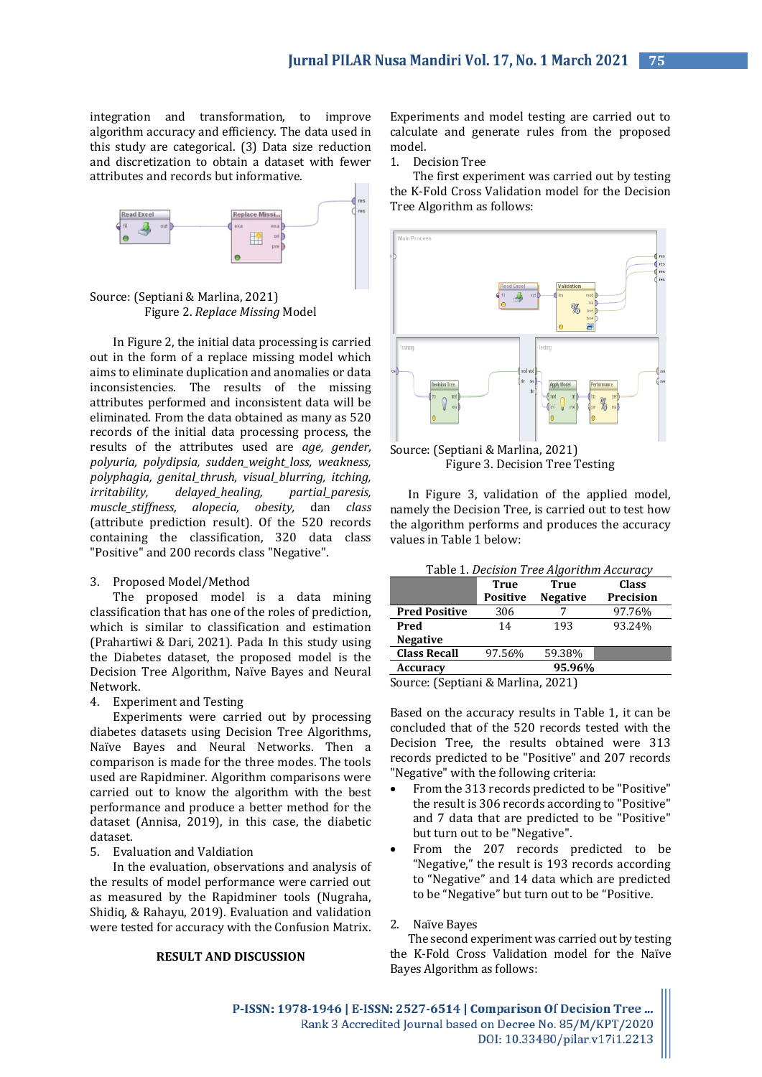integration and transformation, to improve algorithm accuracy and efficiency. The data used in this study are categorical. (3) Data size reduction and discretization to obtain a dataset with fewer attributes and records but informative.





In Figure 2, the initial data processing is carried out in the form of a replace missing model which aims to eliminate duplication and anomalies or data inconsistencies. The results of the missing attributes performed and inconsistent data will be eliminated. From the data obtained as many as 520 records of the initial data processing process, the results of the attributes used are *age, gender, polyuria, polydipsia, sudden\_weight\_loss, weakness, polyphagia, genital\_thrush, visual\_blurring, itching, irritability, delayed\_healing, partial\_paresis, muscle\_stiffness, alopecia, obesity,* dan *class* (attribute prediction result). Of the 520 records containing the classification, 320 data class "Positive" and 200 records class "Negative".

# 3. Proposed Model/Method

The proposed model is a data mining classification that has one of the roles of prediction, which is similar to classification and estimation (Prahartiwi & Dari, 2021). Pada In this study using the Diabetes dataset, the proposed model is the Decision Tree Algorithm, Naïve Bayes and Neural Network.

## 4. Experiment and Testing

Experiments were carried out by processing diabetes datasets using Decision Tree Algorithms, Naïve Bayes and Neural Networks. Then a comparison is made for the three modes. The tools used are Rapidminer. Algorithm comparisons were carried out to know the algorithm with the best performance and produce a better method for the dataset (Annisa, 2019), in this case, the diabetic dataset.

# 5. Evaluation and Valdiation

In the evaluation, observations and analysis of the results of model performance were carried out as measured by the Rapidminer tools (Nugraha, Shidiq, & Rahayu, 2019). Evaluation and validation were tested for accuracy with the Confusion Matrix.

#### **RESULT AND DISCUSSION**

Experiments and model testing are carried out to calculate and generate rules from the proposed model.

1. Decision Tree

The first experiment was carried out by testing the K-Fold Cross Validation model for the Decision Tree Algorithm as follows:



Source: (Septiani & Marlina, 2021) Figure 3. Decision Tree Testing

In Figure 3, validation of the applied model, namely the Decision Tree, is carried out to test how the algorithm performs and produces the accuracy values in Table 1 below:

| Table 1. Decision Tree Algorithm Accuracy             |                 |                 |                  |
|-------------------------------------------------------|-----------------|-----------------|------------------|
|                                                       | <b>True</b>     | <b>True</b>     | <b>Class</b>     |
|                                                       | <b>Positive</b> | <b>Negative</b> | <b>Precision</b> |
| <b>Pred Positive</b>                                  | 306             |                 | 97.76%           |
| Pred                                                  | 14              | 193             | 93.24%           |
| <b>Negative</b>                                       |                 |                 |                  |
| <b>Class Recall</b>                                   | 97.56%          | 59.38%          |                  |
| <b>Accuracy</b>                                       | 95.96%          |                 |                  |
| $\alpha$ $\alpha$ $\alpha$ $\alpha$ $\alpha$ $\alpha$ |                 |                 |                  |

Source: (Septiani & Marlina, 2021)

Based on the accuracy results in Table 1, it can be concluded that of the 520 records tested with the Decision Tree, the results obtained were 313 records predicted to be "Positive" and 207 records "Negative" with the following criteria:

- From the 313 records predicted to be "Positive" the result is 306 records according to "Positive" and 7 data that are predicted to be "Positive" but turn out to be "Negative".
- From the 207 records predicted to be "Negative," the result is 193 records according to "Negative" and 14 data which are predicted to be "Negative" but turn out to be "Positive.

## 2. Naïve Bayes

The second experiment was carried out by testing the K-Fold Cross Validation model for the Naïve Bayes Algorithm as follows: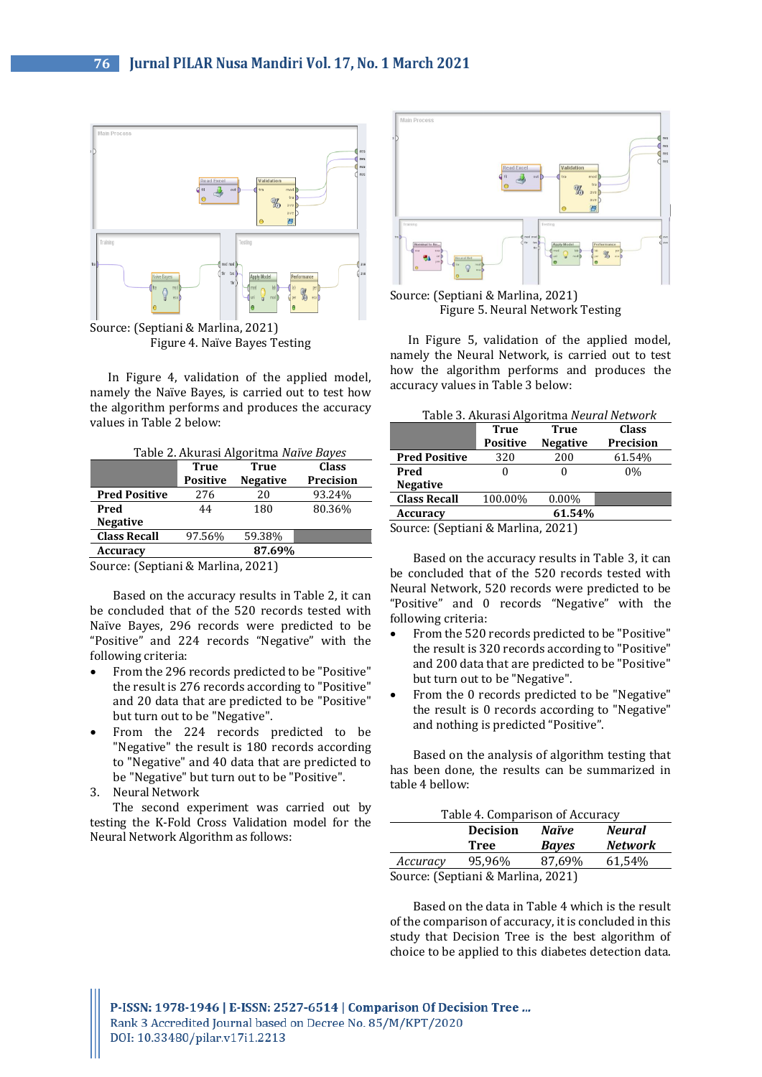

Figure 4. Naïve Bayes Testing

In Figure 4, validation of the applied model, namely the Naïve Bayes, is carried out to test how the algorithm performs and produces the accuracy values in Table 2 below:

| Table 2. Akurasi Algoritma Naïve Bayes |                 |                 |              |  |
|----------------------------------------|-----------------|-----------------|--------------|--|
|                                        | <b>True</b>     | True            | <b>Class</b> |  |
|                                        | <b>Positive</b> | <b>Negative</b> | Precision    |  |
| <b>Pred Positive</b>                   | 276             | 20              | 93.24%       |  |
| Pred                                   | 44              | 180             | 80.36%       |  |
| <b>Negative</b>                        |                 |                 |              |  |
| <b>Class Recall</b>                    | 97.56%          | 59.38%          |              |  |
| Accuracy                               |                 | 87.69%          |              |  |

Source: (Septiani & Marlina, 2021)

Based on the accuracy results in Table 2, it can be concluded that of the 520 records tested with Naïve Bayes, 296 records were predicted to be "Positive" and 224 records "Negative" with the following criteria:

- From the 296 records predicted to be "Positive" the result is 276 records according to "Positive" and 20 data that are predicted to be "Positive" but turn out to be "Negative".
- From the 224 records predicted to be "Negative" the result is 180 records according to "Negative" and 40 data that are predicted to be "Negative" but turn out to be "Positive".
- 3. Neural Network

The second experiment was carried out by testing the K-Fold Cross Validation model for the Neural Network Algorithm as follows:



Source: (Septiani & Marlina, 2021) Figure 5. Neural Network Testing

In Figure 5, validation of the applied model, namely the Neural Network, is carried out to test how the algorithm performs and produces the accuracy values in Table 3 below:

| Table 3. Akurasi Algoritma Neural Network |  |
|-------------------------------------------|--|
|-------------------------------------------|--|

|                                   | <b>True</b>     | True            | Class     |
|-----------------------------------|-----------------|-----------------|-----------|
|                                   | <b>Positive</b> | <b>Negative</b> | Precision |
| <b>Pred Positive</b>              | 320             | 200             | 61.54%    |
| Pred                              |                 | 0               | 0%        |
| <b>Negative</b>                   |                 |                 |           |
| <b>Class Recall</b>               | 100.00%         | $0.00\%$        |           |
| Accuracy                          |                 | 61.54%          |           |
| $\sim$<br>$\sim$<br>$\sim$ $\sim$ | <br>$\cdots$    | <b>00011</b>    |           |

Source: (Septiani & Marlina, 2021)

Based on the accuracy results in Table 3, it can be concluded that of the 520 records tested with Neural Network, 520 records were predicted to be "Positive" and 0 records "Negative" with the following criteria:

- From the 520 records predicted to be "Positive" the result is 320 records according to "Positive" and 200 data that are predicted to be "Positive" but turn out to be "Negative".
- From the 0 records predicted to be "Negative" the result is 0 records according to "Negative" and nothing is predicted "Positive".

Based on the analysis of algorithm testing that has been done, the results can be summarized in table 4 bellow:

| Table 4. Comparison of Accuracy    |                 |              |                |
|------------------------------------|-----------------|--------------|----------------|
|                                    | <b>Decision</b> | Naïve        | <b>Neural</b>  |
|                                    | <b>Tree</b>     | <b>Bayes</b> | <b>Network</b> |
| Accuracy                           | 95.96%          | 87,69%       | 61,54%         |
| Source: (Septiani & Marlina, 2021) |                 |              |                |

Based on the data in Table 4 which is the result of the comparison of accuracy, it is concluded in this study that Decision Tree is the best algorithm of choice to be applied to this diabetes detection data.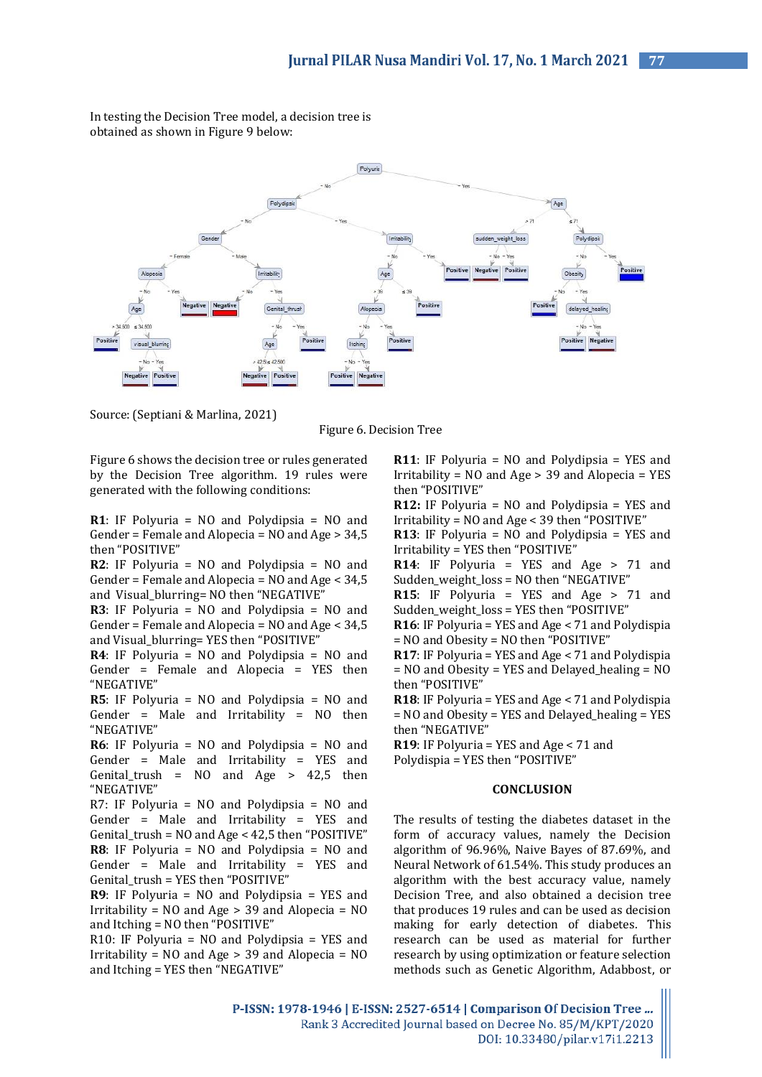In testing the Decision Tree model, a decision tree is obtained as shown in Figure 9 below:



Source: (Septiani & Marlina, 2021)

Figure 6. Decision Tree

Figure 6 shows the decision tree or rules generated by the Decision Tree algorithm. 19 rules were generated with the following conditions:

**R1**: IF Polyuria = NO and Polydipsia = NO and Gender = Female and Alopecia = NO and Age > 34,5 then "POSITIVE"

**R2**: IF Polyuria = NO and Polydipsia = NO and Gender = Female and Alopecia = NO and Age < 34,5 and Visual\_blurring= NO then "NEGATIVE"

**R3**: IF Polyuria = NO and Polydipsia = NO and Gender = Female and Alopecia = NO and Age < 34,5 and Visual\_blurring= YES then "POSITIVE"

**R4**: IF Polyuria = NO and Polydipsia = NO and Gender = Female and Alopecia = YES then "NEGATIVE"

**R5**: IF Polyuria = NO and Polydipsia = NO and Gender = Male and Irritability = NO then "NEGATIVE"

**R6**: IF Polyuria = NO and Polydipsia = NO and Gender = Male and Irritability = YES and Genital\_trush =  $NO$  and  $Age$  >  $42,5$  then "NEGATIVE"

R7: IF Polyuria = NO and Polydipsia = NO and Gender = Male and Irritability = YES and Genital\_trush = NO and Age < 42,5 then "POSITIVE" **R8**: IF Polyuria = NO and Polydipsia = NO and Gender = Male and Irritability = YES and Genital trush = YES then "POSITIVE"

**R9**: IF Polyuria = NO and Polydipsia = YES and Irritability = NO and Age > 39 and Alopecia = NO and Itching = NO then "POSITIVE"

R10: IF Polyuria = NO and Polydipsia = YES and Irritability =  $NO$  and  $Age > 39$  and Alopecia =  $NO$ and Itching = YES then "NEGATIVE"

**R11**: IF Polyuria = NO and Polydipsia = YES and Irritability = NO and Age > 39 and Alopecia = YES then "POSITIVE"

**R12:** IF Polyuria = NO and Polydipsia = YES and Irritability = NO and Age < 39 then "POSITIVE"

**R13**: IF Polyuria = NO and Polydipsia = YES and Irritability = YES then "POSITIVE"

**R14**: IF Polyuria = YES and Age > 71 and Sudden\_weight\_loss = NO then "NEGATIVE"

**R15**: IF Polyuria = YES and Age > 71 and Sudden\_weight\_loss = YES then "POSITIVE"

**R16**: IF Polyuria = YES and Age < 71 and Polydispia = NO and Obesity = NO then "POSITIVE"

**R17**: IF Polyuria = YES and Age < 71 and Polydispia = NO and Obesity = YES and Delayed\_healing = NO then "POSITIVE"

**R18**: IF Polyuria = YES and Age < 71 and Polydispia = NO and Obesity = YES and Delayed\_healing = YES then "NEGATIVE"

**R19**: IF Polyuria = YES and Age < 71 and

Polydispia = YES then "POSITIVE"

# **CONCLUSION**

The results of testing the diabetes dataset in the form of accuracy values, namely the Decision algorithm of 96.96%, Naive Bayes of 87.69%, and Neural Network of 61.54%. This study produces an algorithm with the best accuracy value, namely Decision Tree, and also obtained a decision tree that produces 19 rules and can be used as decision making for early detection of diabetes. This research can be used as material for further research by using optimization or feature selection methods such as Genetic Algorithm, Adabbost, or